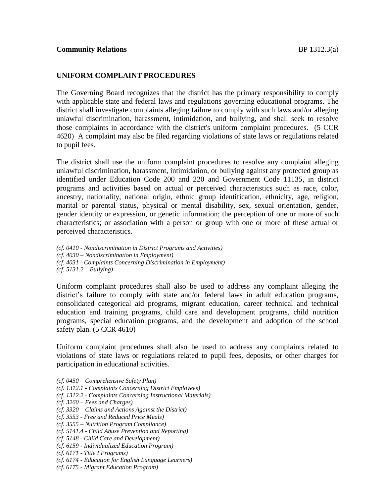# **UNIFORM COMPLAINT PROCEDURES**

The Governing Board recognizes that the district has the primary responsibility to comply with applicable state and federal laws and regulations governing educational programs. The district shall investigate complaints alleging failure to comply with such laws and/or alleging unlawful discrimination, harassment, intimidation, and bullying, and shall seek to resolve those complaints in accordance with the district's uniform complaint procedures. (5 CCR 4620) A complaint may also be filed regarding violations of state laws or regulations related to pupil fees.

The district shall use the uniform complaint procedures to resolve any complaint alleging unlawful discrimination, harassment, intimidation, or bullying against any protected group as identified under Education Code 200 and 220 and Government Code 11135, in district programs and activities based on actual or perceived characteristics such as race, color, ancestry, nationality, national origin, ethnic group identification, ethnicity, age, religion, marital or parental status, physical or mental disability, sex, sexual orientation, gender, gender identity or expression, or genetic information; the perception of one or more of such characteristics; or association with a person or group with one or more of these actual or perceived characteristics.

*(cf. 0410 - Nondiscrimination in District Programs and Activities) (cf. 4030 – Nondiscrimination in Employment) (cf. 4031 - Complaints Concerning Discrimination in Employment) (cf. 5131.2 – Bullying)*

Uniform complaint procedures shall also be used to address any complaint alleging the district's failure to comply with state and/or federal laws in adult education programs, consolidated categorical aid programs, migrant education, career technical and technical education and training programs, child care and development programs, child nutrition programs, special education programs, and the development and adoption of the school safety plan. (5 CCR 4610)

Uniform complaint procedures shall also be used to address any complaints related to violations of state laws or regulations related to pupil fees, deposits, or other charges for participation in educational activities.

- *(cf. 0450 – Comprehensive Safety Plan)*
- *(cf. 1312.1 - Complaints Concerning District Employees)*
- *(cf. 1312.2 - Complaints Concerning Instructional Materials)*
- *(cf. 3260 – Fees and Charges)*
- *(cf. 3320 – Claims and Actions Against the District)*
- *(cf. 3553 - Free and Reduced Price Meals)*
- *(cf. 3555 – Nutrition Program Compliance)*
- *(cf. 5141.4 - Child Abuse Prevention and Reporting)*
- *(cf. 5148 - Child Care and Development)*
- *(cf. 6159 - Individualized Education Program)*
- *(cf. 6171 - Title I Programs)*
- *(cf. 6174 - Education for English Language Learners)*
- *(cf. 6175 - Migrant Education Program)*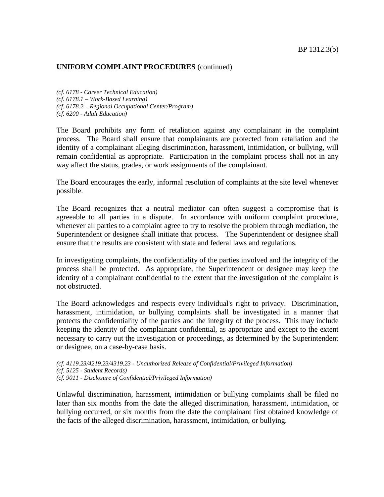## **UNIFORM COMPLAINT PROCEDURES** (continued)

*(cf. 6178 - Career Technical Education) (cf. 6178.1 – Work-Based Learning) (cf. 6178.2 – Regional Occupational Center/Program) (cf. 6200 - Adult Education)*

The Board prohibits any form of retaliation against any complainant in the complaint process. The Board shall ensure that complainants are protected from retaliation and the identity of a complainant alleging discrimination, harassment, intimidation, or bullying, will remain confidential as appropriate. Participation in the complaint process shall not in any way affect the status, grades, or work assignments of the complainant.

The Board encourages the early, informal resolution of complaints at the site level whenever possible.

The Board recognizes that a neutral mediator can often suggest a compromise that is agreeable to all parties in a dispute. In accordance with uniform complaint procedure, whenever all parties to a complaint agree to try to resolve the problem through mediation, the Superintendent or designee shall initiate that process. The Superintendent or designee shall ensure that the results are consistent with state and federal laws and regulations.

In investigating complaints, the confidentiality of the parties involved and the integrity of the process shall be protected. As appropriate, the Superintendent or designee may keep the identity of a complainant confidential to the extent that the investigation of the complaint is not obstructed.

The Board acknowledges and respects every individual's right to privacy. Discrimination, harassment, intimidation, or bullying complaints shall be investigated in a manner that protects the confidentiality of the parties and the integrity of the process. This may include keeping the identity of the complainant confidential, as appropriate and except to the extent necessary to carry out the investigation or proceedings, as determined by the Superintendent or designee, on a case-by-case basis.

*(cf. 4119.23/4219.23/4319.23 - Unauthorized Release of Confidential/Privileged Information) (cf. 5125 - Student Records) (cf. 9011 - Disclosure of Confidential/Privileged Information)*

Unlawful discrimination, harassment, intimidation or bullying complaints shall be filed no later than six months from the date the alleged discrimination, harassment, intimidation, or bullying occurred, or six months from the date the complainant first obtained knowledge of the facts of the alleged discrimination, harassment, intimidation, or bullying.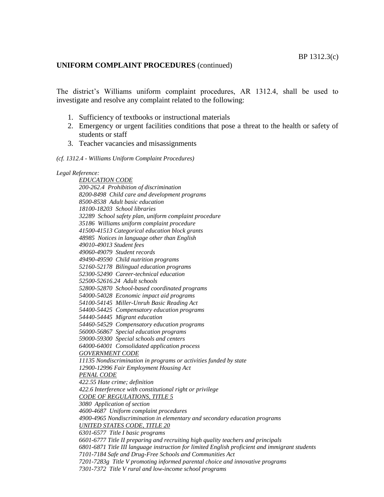### **UNIFORM COMPLAINT PROCEDURES** (continued)

The district's Williams uniform complaint procedures, AR 1312.4, shall be used to investigate and resolve any complaint related to the following:

- 1. Sufficiency of textbooks or instructional materials
- 2. Emergency or urgent facilities conditions that pose a threat to the health or safety of students or staff
- 3. Teacher vacancies and misassignments

*(cf. 1312.4 - Williams Uniform Complaint Procedures)*

#### *Legal Reference:*

*EDUCATION CODE 200-262.4 Prohibition of discrimination 8200-8498 Child care and development programs 8500-8538 Adult basic education 18100-18203 School libraries 32289 School safety plan, uniform complaint procedure 35186 Williams uniform complaint procedure 41500-41513 Categorical education block grants 48985 Notices in language other than English 49010-49013 Student fees 49060-49079 Student records 49490-49590 Child nutrition programs 52160-52178 Bilingual education programs 52300-52490 Career-technical education 52500-52616.24 Adult schools 52800-52870 School-based coordinated programs 54000-54028 Economic impact aid programs 54100-54145 Miller-Unruh Basic Reading Act 54400-54425 Compensatory education programs 54440-54445 Migrant education 54460-54529 Compensatory education programs 56000-56867 Special education programs 59000-59300 Special schools and centers 64000-64001 Consolidated application process GOVERNMENT CODE 11135 Nondiscrimination in programs or activities funded by state 12900-12996 Fair Employment Housing Act PENAL CODE 422.55 Hate crime; definition 422.6 Interference with constitutional right or privilege CODE OF REGULATIONS, TITLE 5 3080 Application of section 4600-4687 Uniform complaint procedures 4900-4965 Nondiscrimination in elementary and secondary education programs UNITED STATES CODE, TITLE 20 6301-6577 Title I basic programs 6601-6777 Title II preparing and recruiting high quality teachers and principals 6801-6871 Title III language instruction for limited English proficient and immigrant students 7101-7184 Safe and Drug-Free Schools and Communities Act 7201-7283g Title V promoting informed parental choice and innovative programs 7301-7372 Title V rural and low-income school programs*